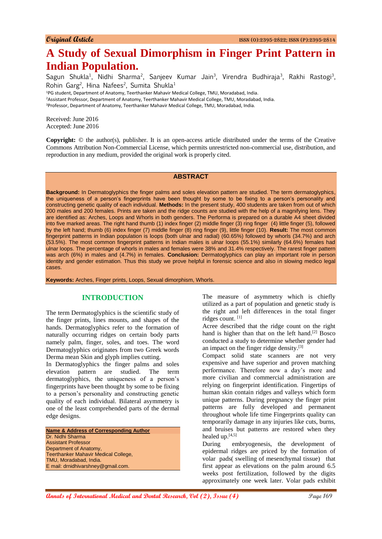# **A Study of Sexual Dimorphism in Finger Print Pattern in Indian Population.**

Sagun Shukla<sup>1</sup>, Nidhi Sharma<sup>2</sup>, Sanjeev Kumar Jain<sup>3</sup>, Virendra Budhiraja<sup>3</sup>, Rakhi Rastogi<sup>3</sup>, Rohin Garg<sup>2</sup>, Hina Nafees<sup>2</sup>, Sumita Shukla<sup>1</sup>

<sup>1</sup>PG student, Department of Anatomy, Teerthanker Mahavir Medical College, TMU, Moradabad, India. <sup>2</sup>Assistant Professor, Department of Anatomy, Teerthanker Mahavir Medical College, TMU, Moradabad, India. <sup>3</sup>Professor, Department of Anatomy, Teerthanker Mahavir Medical College, TMU, Moradabad, India.

Received: June 2016 Accepted: June 2016

**Copyright:** © the author(s), publisher. It is an open-access article distributed under the terms of the Creative Commons Attribution Non-Commercial License, which permits unrestricted non-commercial use, distribution, and reproduction in any medium, provided the original work is properly cited.

# **ABSTRACT**

**Background:** In Dermatoglyphics the finger palms and soles elevation pattern are studied. The term dermatoglyphics, the uniqueness of a person's fingerprints have been thought by some to be fixing to a person's personality and constructing genetic quality of each individual. **Methods:** In the present study, 400 students are taken from out of which 200 males and 200 females. Prints are taken and the ridge counts are studied with the help of a magnifying lens. They are identified as: Arches, Loops and Whorls in both genders. The Performa is prepared on a durable A4 sheet divided into five marked areas. The right hand thumb (1) index finger (2) middle finger (3) ring finger (4) little finger (5), followed by the left hand; thumb (6) index finger (7) middle finger (8) ring finger (9), little finger (10). **Result:** The most common fingerprint patterns in Indian population is loops (both ulnar and radial) (60.65%) followed by whorls (34.7%) and arch (53.5%). The most common fingerprint patterns in Indian males is ulnar loops (55.1%) similarly (64.6%) females had ulnar loops. The percentage of whorls in males and females were 38% and 31.4% respectively. The rarest finger pattern was arch (6%) in males and (4.7%) in females. **Conclusion:** Dermatoglyphics can play an important role in person identity and gender estimation. Thus this study we prove helpful in forensic science and also in slowing medico legal cases.

**Keywords:** Arches, Finger prints, Loops, Sexual dimorphism, Whorls.

#### **INTRODUCTION**

The term Dermatoglyphics is the scientific study of the finger prints, lines mounts, and shapes of the hands. Dermatoglyphics refer to the formation of naturally occurring ridges on certain body parts namely palm, finger, soles, and toes. The word Dermatoglyphics originates from two Greek words Derma mean Skin and glyph implies cutting.

In Dermatoglyphics the finger palms and soles elevation pattern are studied. The term dermatoglyphics, the uniqueness of a person's fingerprints have been thought by some to be fixing to a person's personality and constructing genetic quality of each individual. Bilateral asymmetry is one of the least comprehended parts of the dermal edge designs.

**Name & Address of Corresponding Author** Dr. Nidhi Sharma Assistant Professor Department of Anatomy, Teerthanker Mahavir Medical College, TMU, Moradabad, India. E mail: drnidhivarshney@gmail.com.

The measure of asymmetry which is chiefly utilized as a part of population and genetic study is the right and left differences in the total finger ridges count. [1]

Acree described that the ridge count on the right hand is higher than that on the left hand.<sup>[2]</sup> Bosco conducted a study to determine whether gender had an impact on the finger ridge density.<sup>[3]</sup>

Compact solid state scanners are not very expensive and have superior and proven matching performance. Therefore now a day's more and more civilian and commercial administration are relying on fingerprint identification. Fingertips of human skin contain ridges and valleys which form unique patterns. During pregnancy the finger print patterns are fully developed and permanent throughout whole life time Fingerprints quality can temporarily damage in any injuries like cuts, burns, and bruises but patterns are restored when they healed up.[4,5]

During embryogenesis, the development of epidermal ridges are priced by the formation of volar pads( swelling of mesenchymal tissue) that first appear as elevations on the palm around 6.5 weeks post fertilization, followed by the digits approximately one week later. Volar pads exhibit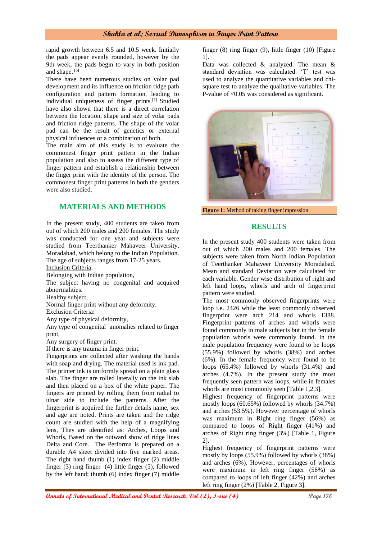rapid growth between 6.5 and 10.5 week. Initially the pads appear evenly rounded, however by the 9th week, the pads begin to vary in both position and shape. [6]

There have been numerous studies on volar pad development and its influence on friction ridge path configuration and pattern formation, leading to individual uniqueness of finger prints.[7] Studied have also shown that there is a direct correlation between the location, shape and size of volar pads and friction ridge patterns. The shape of the volar pad can be the result of genetics or external physical influences or a combination of both.

The main aim of this study is to evaluate the commonest finger print pattern in the Indian population and also to assess the different type of finger pattern and establish a relationship between the finger print with the identity of the person. The commonest finger print patterns in both the genders were also studied.

# **MATERIALS AND METHODS**

In the present study, 400 students are taken from out of which 200 males and 200 females. The study was conducted for one year and subjects were studied from Teerthanker Mahaveer University, Moradabad, which belong to the Indian Population. The age of subjects ranges from 17-25 years.

Inclusion Criteria: -

Belonging with Indian population,

The subject having no congenital and acquired abnormalities.

Healthy subject,

Normal finger print without any deformity.

Exclusion Criteria:

Any type of physical deformity,

Any type of congenital anomalies related to finger print,

Any surgery of finger print.

If there is any trauma in finger print.

Fingerprints are collected after washing the hands with soap and drying. The material used is ink pad. The printer ink is uniformly spread on a plain glass slab. The finger are rolled laterally on the ink slab and then placed on a box of the white paper. The fingers are printed by rolling them from radial to ulnar side to include the patterns. After the fingerprint is acquired the further details name, sex and age are noted. Prints are taken and the ridge count are studied with the help of a magnifying lens, They are identified as: Arches, Loops and Whorls, Based on the outward show of ridge lines Delta and Core. The Performa is prepared on a durable A4 sheet divided into five marked areas. The right hand thumb (1) index finger (2) middle finger (3) ring finger (4) little finger (5), followed by the left hand; thumb (6) index finger (7) middle

finger (8) ring finger (9), little finger (10) [Figure 1].

Data was collected & analyzed. The mean & standard deviation was calculated. 'T' test was used to analyze the quantitative variables and chisquare test to analyze the qualitative variables. The P-value of <0.05 was considered as significant.



**Figure 1:** Method of taking finger impression.

#### **RESULTS**

In the present study 400 students were taken from out of which 200 males and 200 females. The subjects were taken from North Indian Population of Teerthanker Mahaveer University Moradabad. Mean and standard Deviation were calculated for each variable. Gender wise distribution of right and left hand loops, whorls and arch of fingerprint pattern were studied.

The most commonly observed fingerprints were loop i.e. 2426 while the least commonly observed fingerprint were arch 214 and whorls 1388. Fingerprint patterns of arches and whorls were found commonly in male subjects but in the female population whorls were commonly found. In the male population frequency were found to be loops (55.9%) followed by whorls (38%) and arches (6%). In the female frequency were found to be loops (65.4%) followed by whorls (31.4%) and arches (4.7%). In the present study the most frequently seen pattern was loops, while in females whorls are most commonly seen [Table 1,2,3].

Highest frequency of fingerprint patterns were mostly loops (60.65%) followed by whorls (34.7%) and arches (53.5%). However percentage of whorls was maximum in Right ring finger (56%) as compared to loops of Right finger (41%) and arches of Right ring finger (3%) [Table 1, Figure 2].

Highest frequency of fingerprint patterns were mostly by loops (55.9%) followed by whorls (38%) and arches (6%). However, percentages of whorls were maximum in left ring finger (56%) as compared to loops of left finger (42%) and arches left ring finger (2%) [Table 2, Figure 3].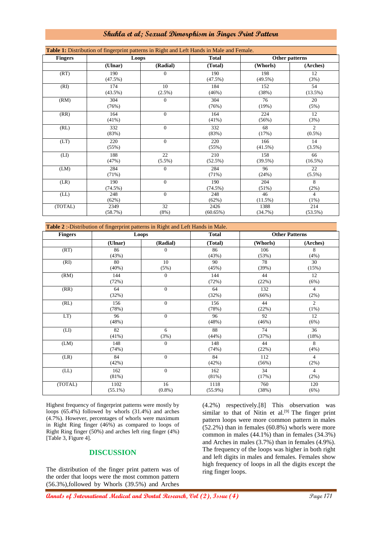| <b>Fingers</b> | Loops             |                 | <b>Total</b>      | Other patterns    |                             |
|----------------|-------------------|-----------------|-------------------|-------------------|-----------------------------|
|                | (Ulnar)           | (Radial)        | (Total)           | (Whorls)          | (Arches)                    |
| (RT)           | 190<br>$(47.5\%)$ | $\mathbf{0}$    | 190<br>(47.5%)    | 198<br>$(49.5\%)$ | 12<br>(3%)                  |
| (RI)           | 174<br>$(43.5\%)$ | 10<br>(2.5%)    | 184<br>(46%)      | 152<br>(38%)      | 54<br>$(13.5\%)$            |
| (RM)           | 304<br>(76%)      | $\Omega$        | 304<br>(76%)      | 76<br>(19%)       | 20<br>(5%)                  |
| (RR)           | 164<br>$(41\%)$   | $\Omega$        | 164<br>$(41\%)$   | 224<br>(56%)      | 12<br>(3%)                  |
| (RL)           | 332<br>(83%)      | $\mathbf{0}$    | 332<br>(83%)      | 68<br>(17%)       | $\overline{2}$<br>$(0.5\%)$ |
| (LT)           | 220<br>(55%)      | $\Omega$        | 220<br>(55%)      | 166<br>$(41.5\%)$ | 14<br>$(3.5\%)$             |
| (LI)           | 188<br>(47%)      | 22<br>$(5.5\%)$ | 210<br>(52.5%)    | 158<br>(39.5%)    | 66<br>(16.5%)               |
| (LM)           | 284<br>(71%)      | $\mathbf{0}$    | 284<br>(71%)      | 96<br>(24%)       | 22<br>$(5.5\%)$             |
| (LR)           | 190<br>$(74.5\%)$ | $\Omega$        | 190<br>$(74.5\%)$ | 204<br>(51%)      | 8<br>(2%)                   |
| (LL)           | 248<br>(62%)      | $\mathbf{0}$    | 248<br>(62%)      | 46<br>$(11.5\%)$  | $\overline{4}$<br>(1%)      |
| (TOTAL)        | 2349<br>(58.7%)   | 32<br>(8%)      | 2426<br>(60.65%)  | 1388<br>(34.7%)   | 214<br>$(53.5\%)$           |

| <b>Fingers</b> | Loops      |                | <b>Total</b> | <b>Other Patterns</b> |                |
|----------------|------------|----------------|--------------|-----------------------|----------------|
|                | (Ulnar)    | (Radial)       | (Total)      | (Whorls)              | (Arches)       |
| (RT)           | 86         | 0              | 86           | 106                   | 8              |
|                | (43%)      |                | (43%)        | (53%)                 | (4%)           |
| (RI)           | 80         | 10             | 90           | 78                    | 30             |
|                | $(40\%)$   | (5%)           | (45%)        | (39%)                 | (15%)          |
| (RM)           | 144        | $\overline{0}$ | 144          | 44                    | 12             |
|                | (72%)      |                | (72%)        | (22%)                 | (6%)           |
| (RR)           | 64         | $\overline{0}$ | 64           | 132                   | $\overline{4}$ |
|                | (32%)      |                | (32%)        | (66%)                 | (2%)           |
| (RL)           | 156        | $\overline{0}$ | 156          | 44                    | 2              |
|                | (78%)      |                | (78%)        | (22%)                 | (1%)           |
| LT)            | 96         | $\overline{0}$ | 96           | 92                    | 12             |
|                | (48%)      |                | (48%)        | (46%)                 | (6%)           |
| (LI)           | 82         | 6              | 88           | 74                    | 36             |
|                | $(41\%)$   | (3%)           | (44%)        | (37%)                 | (18%)          |
| (LM)           | 148        | $\overline{0}$ | 148          | 44                    | 8              |
|                | (74%)      |                | (74%)        | (22%)                 | (4%)           |
| (LR)           | 84         | $\overline{0}$ | 84           | 112                   | $\overline{4}$ |
|                | (42%)      |                | (42%)        | (56%)                 | (2%)           |
| (LL)           | 162        | $\overline{0}$ | 162          | 34                    | $\overline{4}$ |
|                | (81%)      |                | (81%)        | (17%)                 | (2%)           |
| (TOTAL)        | 1102       | 16             | 1118         | 760                   | 120            |
|                | $(55.1\%)$ | $(0.8\%)$      | $(55.9\%)$   | (38%)                 | (6%)           |

Highest frequency of fingerprint patterns were mostly by loops (65.4%) followed by whorls (31.4%) and arches (4.7%). However, percentages of whorls were maximum in Right Ring finger (46%) as compared to loops of Right Ring finger (50%) and arches left ring finger (4%) [Table 3, Figure 4].

# **DISCUSSION**

The distribution of the finger print pattern was of the order that loops were the most common pattern (56.3%),followed by Whorls (39.5%) and Arches

(4.2%) respectively.[8] This observation was similar to that of Nitin et al. $[9]$  The finger print pattern loops were more common pattern in males (52.2%) than in females (60.8%) whorls were more common in males (44.1%) than in females (34.3%) and Arches in males (3.7%) than in females (4.9%). The frequency of the loops was higher in both right and left digits in males and females. Females show high frequency of loops in all the digits except the ring finger loops.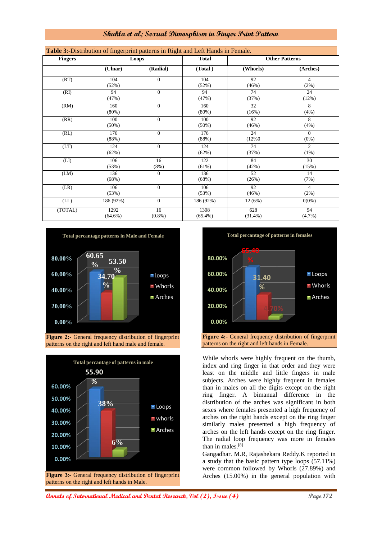| Table 3:-Distribution of fingerprint patterns in Right and Left Hands in Female. |                    |                 |                    |                       |                        |  |  |
|----------------------------------------------------------------------------------|--------------------|-----------------|--------------------|-----------------------|------------------------|--|--|
| <b>Fingers</b>                                                                   | Loops              |                 | <b>Total</b>       | <b>Other Patterns</b> |                        |  |  |
|                                                                                  | (Ulnar)            | (Radial)        | (Total)            | (Whorls)              | (Arches)               |  |  |
| (RT)                                                                             | 104<br>(52%)       | $\mathbf{0}$    | 104<br>(52%)       | 92<br>(46%)           | 4<br>(2%)              |  |  |
| (RI)                                                                             | 94<br>(47%)        | $\Omega$        | 94<br>(47%)        | 74<br>(37%)           | 24<br>(12%)            |  |  |
| (RM)                                                                             | 160<br>$(80\%)$    | $\mathbf{0}$    | 160<br>$(80\%)$    | 32<br>(16%)           | 8<br>(4% )             |  |  |
| (RR)                                                                             | 100<br>$(50\%)$    | $\mathbf{0}$    | 100<br>$(50\%)$    | 92<br>(46%)           | 8<br>(4% )             |  |  |
| (RL)                                                                             | 176<br>(88%)       | $\mathbf{0}$    | 176<br>(88%)       | 24<br>(12%0)          | $\Omega$<br>$(0\%)$    |  |  |
| (LT)                                                                             | 124<br>(62%)       | $\mathbf{0}$    | 124<br>(62%)       | 74<br>(37%)           | $\overline{2}$<br>(1%) |  |  |
| (LI)                                                                             | 106<br>(53%)       | 16<br>(8%)      | 122<br>(61%)       | 84<br>(42%)           | 30<br>(15%)            |  |  |
| (LM)                                                                             | 136<br>(68%)       | $\Omega$        | 136<br>(68%)       | 52<br>(26%)           | 14<br>(7%)             |  |  |
| (LR)                                                                             | 106<br>(53%)       | $\mathbf{0}$    | 106<br>(53%)       | 92<br>(46%)           | 4<br>(2%)              |  |  |
| (LL)                                                                             | 186 (92%)          | $\mathbf{0}$    | 186 (92%)          | 12(6%)                | $0(0\%)$               |  |  |
| (TOTAL)                                                                          | 1292<br>$(64.6\%)$ | 16<br>$(0.8\%)$ | 1308<br>$(65.4\%)$ | 628<br>$(31.4\%)$     | 94<br>$(4.7\%)$        |  |  |



**Figure 2:-** General frequency distribution of fingerprint patterns on the right and left hand male and female.





patterns on the right and left hands in Female.

While whorls were highly frequent on the thumb, index and ring finger in that order and they were least on the middle and little fingers in male subjects. Arches were highly frequent in females than in males on all the digits except on the right ring finger. A bimanual difference in the distribution of the arches was significant in both sexes where females presented a high frequency of arches on the right hands except on the ring finger similarly males presented a high frequency of arches on the left hands except on the ring finger. The radial loop frequency was more in females than in males.<sup>[8]</sup>

Gangadhar. M.R, Rajashekara Reddy.K reported in a study that the basic pattern type loops (57.11%) were common followed by Whorls (27.89%) and Arches (15.00%) in the general population with